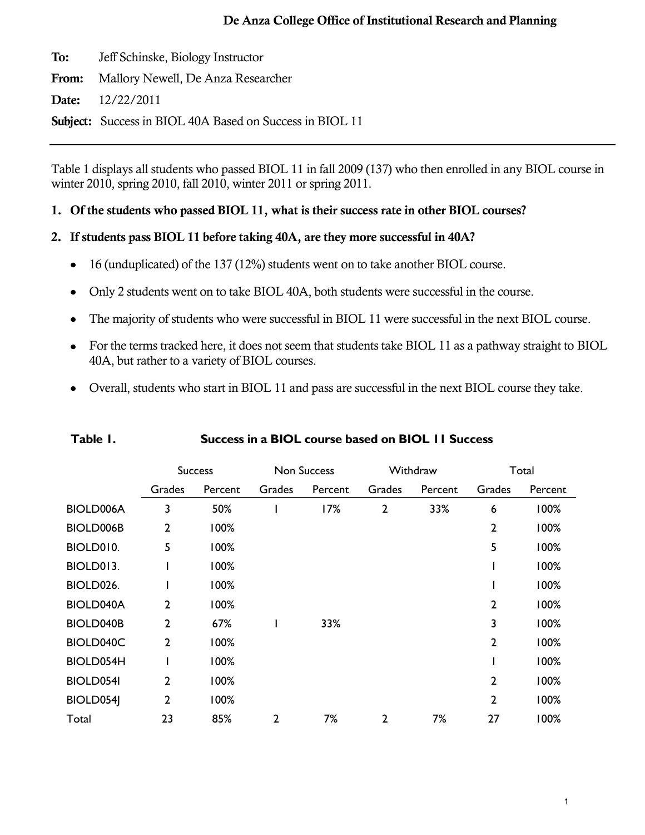**To:** Jeff Schinske, Biology Instructor

**From:** Mallory Newell, De Anza Researcher

**Date:** 12/22/2011

**Subject:** Success in BIOL 40A Based on Success in BIOL 11

Table 1 displays all students who passed BIOL 11 in fall 2009 (137) who then enrolled in any BIOL course in winter 2010, spring 2010, fall 2010, winter 2011 or spring 2011.

# **1. Of the students who passed BIOL 11, what is their success rate in other BIOL courses?**

# **2. If students pass BIOL 11 before taking 40A, are they more successful in 40A?**

- 16 (unduplicated) of the 137 (12%) students went on to take another BIOL course.  $\bullet$
- Only 2 students went on to take BIOL 40A, both students were successful in the course.  $\bullet$
- The majority of students who were successful in BIOL 11 were successful in the next BIOL course.  $\bullet$
- For the terms tracked here, it does not seem that students take BIOL 11 as a pathway straight to BIOL  $\bullet$ 40A, but rather to a variety of BIOL courses.
- Overall, students who start in BIOL 11 and pass are successful in the next BIOL course they take.

|                  | <b>Success</b> |         | <b>Non Success</b> |         | Withdraw       |         | Total          |         |
|------------------|----------------|---------|--------------------|---------|----------------|---------|----------------|---------|
|                  | Grades         | Percent | <b>Grades</b>      | Percent | Grades         | Percent | Grades         | Percent |
| BIOLD006A        | 3              | 50%     |                    | 17%     | $\overline{2}$ | 33%     | 6              | 100%    |
| <b>BIOLD006B</b> | $\overline{2}$ | 100%    |                    |         |                |         | $\mathbf{2}$   | 100%    |
| BIOLD010.        | 5              | 100%    |                    |         |                |         | 5              | 100%    |
| BIOLD013.        |                | 100%    |                    |         |                |         |                | 100%    |
| BIOLD026.        |                | 100%    |                    |         |                |         |                | 100%    |
| <b>BIOLD040A</b> | $\overline{2}$ | 100%    |                    |         |                |         | $\overline{2}$ | 100%    |
| <b>BIOLD040B</b> | $\overline{2}$ | 67%     |                    | 33%     |                |         | 3              | 100%    |
| BIOLD040C        | $\overline{2}$ | 100%    |                    |         |                |         | $\overline{2}$ | 100%    |
| BIOLD054H        |                | 100%    |                    |         |                |         |                | 100%    |
| <b>BIOLD054I</b> | $\overline{2}$ | 100%    |                    |         |                |         | $\mathbf{2}$   | 100%    |
| BIOLD054         | $\overline{2}$ | 100%    |                    |         |                |         | $\overline{2}$ | 100%    |
| Total            | 23             | 85%     | $\overline{2}$     | 7%      | $\overline{2}$ | 7%      | 27             | 100%    |

### **Table 1. Success in a BIOL course based on BIOL 11 Success**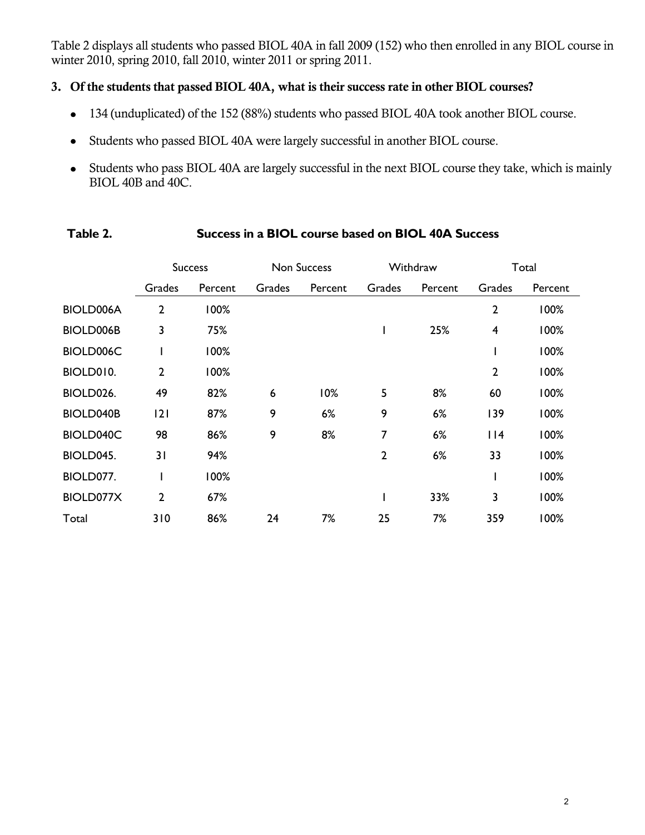Table 2 displays all students who passed BIOL 40A in fall 2009 (152) who then enrolled in any BIOL course in winter 2010, spring 2010, fall 2010, winter 2011 or spring 2011.

# **3. Of the students that passed BIOL 40A, what is their success rate in other BIOL courses?**

- 134 (unduplicated) of the 152 (88%) students who passed BIOL 40A took another BIOL course.
- Students who passed BIOL 40A were largely successful in another BIOL course.  $\bullet$
- Students who pass BIOL 40A are largely successful in the next BIOL course they take, which is mainly BIOL 40B and 40C.

|                  | <b>Success</b> |         | <b>Non Success</b> |         | Withdraw       |         | Total          |         |
|------------------|----------------|---------|--------------------|---------|----------------|---------|----------------|---------|
|                  | Grades         | Percent | Grades             | Percent | Grades         | Percent | Grades         | Percent |
| <b>BIOLD006A</b> | $\overline{2}$ | 100%    |                    |         |                |         | $\overline{2}$ | 100%    |
| BIOLD006B        | 3              | 75%     |                    |         |                | 25%     | 4              | 100%    |
| BIOLD006C        |                | 100%    |                    |         |                |         |                | 100%    |
| BIOLD010.        | $\overline{2}$ | 100%    |                    |         |                |         | $\overline{2}$ | 100%    |
| BIOLD026.        | 49             | 82%     | 6                  | 10%     | 5              | 8%      | 60             | 100%    |
| <b>BIOLD040B</b> | 2              | 87%     | 9                  | 6%      | 9              | 6%      | 139            | 100%    |
| BIOLD040C        | 98             | 86%     | 9                  | 8%      | 7              | 6%      | 114            | 100%    |
| BIOLD045.        | 31             | 94%     |                    |         | $\overline{2}$ | 6%      | 33             | 100%    |
| BIOLD077.        | I              | 100%    |                    |         |                |         |                | 100%    |
| BIOLD077X        | $\overline{2}$ | 67%     |                    |         |                | 33%     | 3              | 100%    |
| Total            | 310            | 86%     | 24                 | 7%      | 25             | 7%      | 359            | 100%    |

### **Table 2. Success in a BIOL course based on BIOL 40A Success**